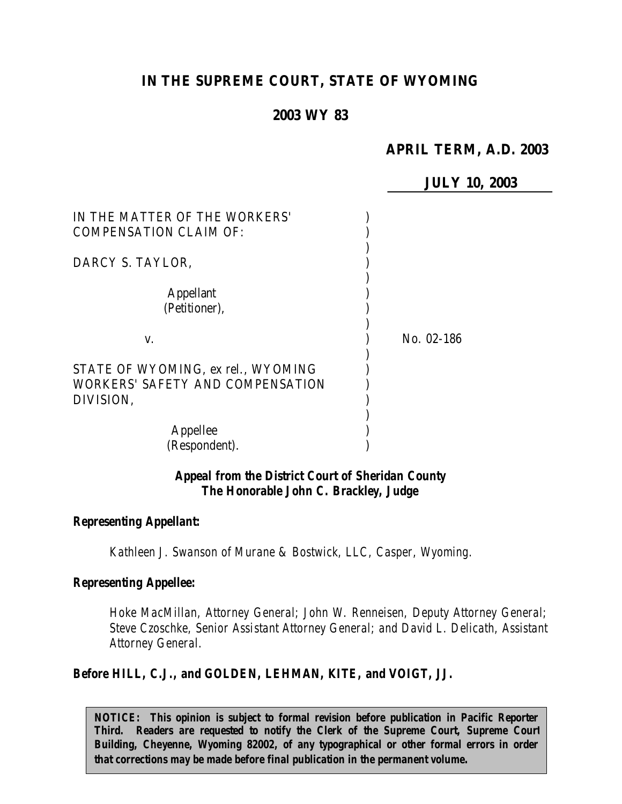# **IN THE SUPREME COURT, STATE OF WYOMING**

# **2003 WY 83**

# **APRIL TERM, A.D. 2003**

**JULY 10, 2003**

| IN THE MATTER OF THE WORKERS'<br><b>COMPENSATION CLAIM OF:</b>                      |            |
|-------------------------------------------------------------------------------------|------------|
| DARCY S. TAYLOR,                                                                    |            |
| Appellant<br>(Petitioner),                                                          |            |
| V.                                                                                  | No. 02-186 |
| STATE OF WYOMING, ex rel., WYOMING<br>WORKERS' SAFETY AND COMPENSATION<br>DIVISION, |            |
| Appellee<br>(Respondent).                                                           |            |

# *Appeal from the District Court of Sheridan County The Honorable John C. Brackley, Judge*

#### *Representing Appellant:*

*Kathleen J. Swanson of Murane & Bostwick, LLC, Casper, Wyoming.*

#### *Representing Appellee:*

*Hoke MacMillan, Attorney General; John W. Renneisen, Deputy Attorney General; Steve Czoschke, Senior Assistant Attorney General; and David L. Delicath, Assistant Attorney General.*

#### *Before HILL, C.J., and GOLDEN, LEHMAN, KITE, and VOIGT, JJ.*

*NOTICE: This opinion is subject to formal revision before publication in Pacific Reporter Third. Readers are requested to notify the Clerk of the Supreme Court, Supreme Court Building, Cheyenne, Wyoming 82002, of any typographical or other formal errors in order that corrections may be made before final publication in the permanent volume.*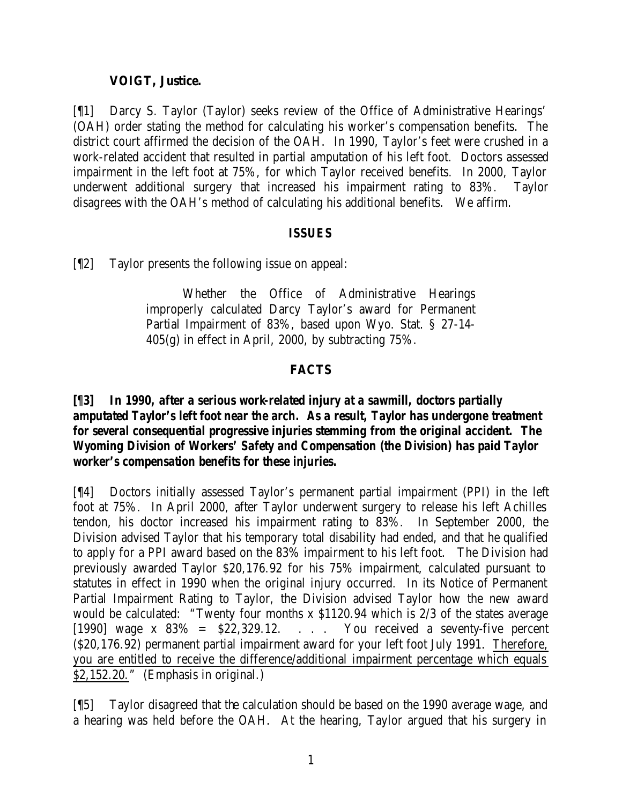### **VOIGT, Justice.**

[¶1] Darcy S. Taylor (Taylor) seeks review of the Office of Administrative Hearings' (OAH) order stating the method for calculating his worker's compensation benefits. The district court affirmed the decision of the OAH. In 1990, Taylor's feet were crushed in a work-related accident that resulted in partial amputation of his left foot. Doctors assessed impairment in the left foot at 75%, for which Taylor received benefits. In 2000, Taylor underwent additional surgery that increased his impairment rating to 83%. Taylor disagrees with the OAH's method of calculating his additional benefits. We affirm.

### *ISSUES*

[¶2] Taylor presents the following issue on appeal:

Whether the Office of Administrative Hearings improperly calculated Darcy Taylor's award for Permanent Partial Impairment of 83%, based upon Wyo. Stat. § 27-14-  $405(g)$  in effect in April, 2000, by subtracting 75%.

# **FACTS**

# *[¶3] In 1990, after a serious work-related injury at a sawmill, doctors partially amputated Taylor's left foot near the arch. As a result, Taylor has undergone treatment for several consequential progressive injuries stemming from the original accident. The Wyoming Division of Workers' Safety and Compensation (the Division) has paid Taylor worker's compensation benefits for these injuries.*

[¶4] Doctors initially assessed Taylor's permanent partial impairment (PPI) in the left foot at 75%. In April 2000, after Taylor underwent surgery to release his left Achilles tendon, his doctor increased his impairment rating to 83%. In September 2000, the Division advised Taylor that his temporary total disability had ended, and that he qualified to apply for a PPI award based on the 83% impairment to his left foot. The Division had previously awarded Taylor \$20,176.92 for his 75% impairment, calculated pursuant to statutes in effect in 1990 when the original injury occurred. In its Notice of Permanent Partial Impairment Rating to Taylor, the Division advised Taylor how the new award would be calculated: "Twenty four months x \$1120.94 which is 2/3 of the states average [1990] wage x  $83\% = $22,329.12$ . . . You received a seventy-five percent (\$20,176.92) permanent partial impairment award for your left foot July 1991. Therefore, you are entitled to receive the difference/additional impairment percentage which equals \$2,152.20." (Emphasis in original.)

[¶5] Taylor disagreed that the calculation should be based on the 1990 average wage, and a hearing was held before the OAH. At the hearing, Taylor argued that his surgery in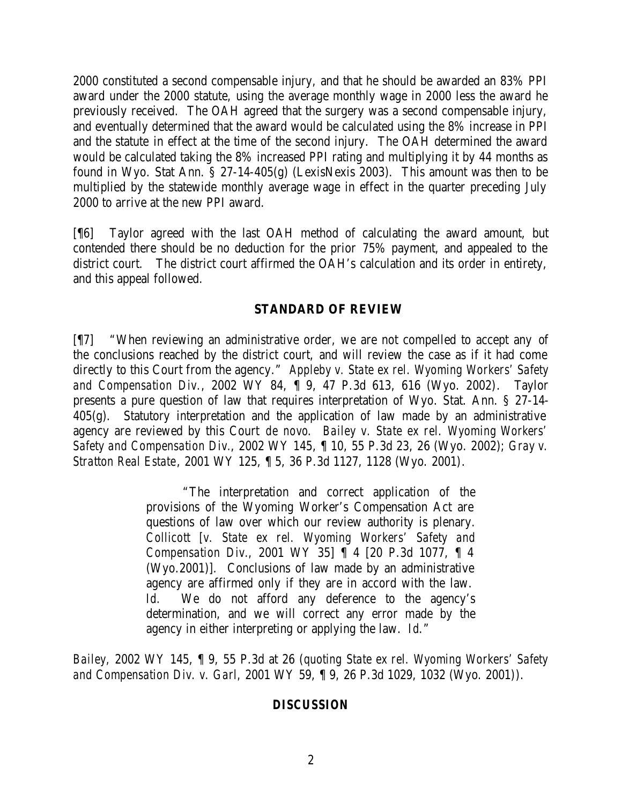2000 constituted a second compensable injury, and that he should be awarded an 83% PPI award under the 2000 statute, using the average monthly wage in 2000 less the award he previously received. The OAH agreed that the surgery was a second compensable injury, and eventually determined that the award would be calculated using the 8% increase in PPI and the statute in effect at the time of the second injury. The OAH determined the award would be calculated taking the 8% increased PPI rating and multiplying it by 44 months as found in Wyo. Stat Ann. § 27-14-405(g) (LexisNexis 2003). This amount was then to be multiplied by the statewide monthly average wage in effect in the quarter preceding July 2000 to arrive at the new PPI award.

[¶6] Taylor agreed with the last OAH method of calculating the award amount, but contended there should be no deduction for the prior 75% payment, and appealed to the district court. The district court affirmed the OAH's calculation and its order in entirety, and this appeal followed.

#### **STANDARD OF REVIEW**

[¶7] "When reviewing an administrative order, we are not compelled to accept any of the conclusions reached by the district court, and will review the case as if it had come directly to this Court from the agency." *Appleby v. State ex rel. Wyoming Workers' Safety and Compensation Div.*, 2002 WY 84, ¶ 9, 47 P.3d 613, 616 (Wyo. 2002). Taylor presents a pure question of law that requires interpretation of Wyo. Stat. Ann. § 27-14- 405(g). Statutory interpretation and the application of law made by an administrative agency are reviewed by this Court *de novo*. *Bailey v. State ex rel. Wyoming Workers' Safety and Compensation Div.*, 2002 WY 145, ¶ 10, 55 P.3d 23, 26 (Wyo. 2002); *Gray v. Stratton Real Estate*, 2001 WY 125, ¶ 5, 36 P.3d 1127, 1128 (Wyo. 2001).

> "The interpretation and correct application of the provisions of the Wyoming Worker's Compensation Act are questions of law over which our review authority is plenary. *Collicott [v. State ex rel. Wyoming Workers' Safety and Compensation Div.*, 2001 WY 35] ¶ 4 [20 P.3d 1077, ¶ 4 (Wyo.2001)]. Conclusions of law made by an administrative agency are affirmed only if they are in accord with the law. *Id.* We do not afford any deference to the agency's determination, and we will correct any error made by the agency in either interpreting or applying the law. *Id*."

*Bailey,* 2002 WY 145, ¶ 9, 55 P.3d at 26 (*quoting State ex rel. Wyoming Workers' Safety and Compensation Div. v. Garl,* 2001 WY 59, ¶ 9, 26 P.3d 1029, 1032 (Wyo. 2001)).

# *DISCUSSION*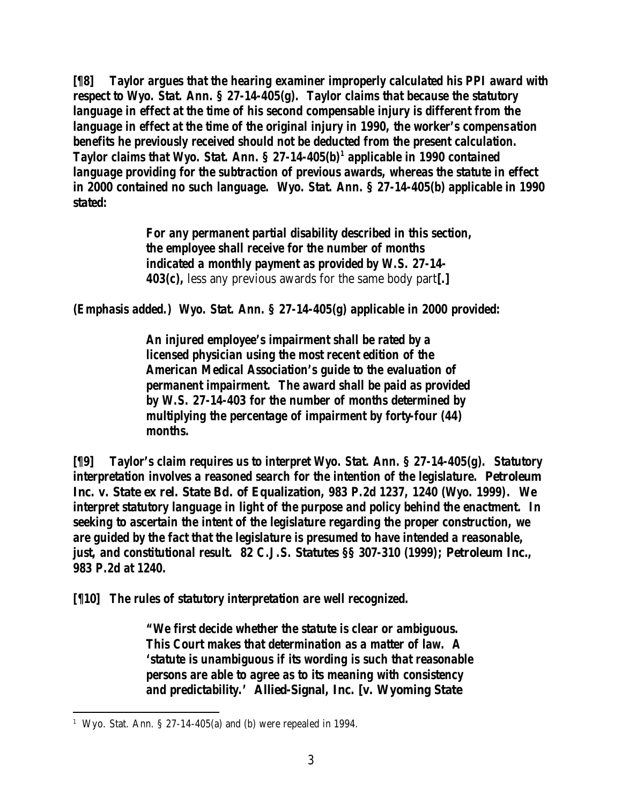*[¶8] Taylor argues that the hearing examiner improperly calculated his PPI award with respect to Wyo. Stat. Ann. § 27-14-405(g). Taylor claims that because the statutory*  language in effect at the time of his second compensable injury is different from the *language in effect at the time of the original injury in 1990, the worker's compensation benefits he previously received should not be deducted from the present calculation. Taylor claims that Wyo. Stat. Ann. § 27-14-405(b)<sup>1</sup> applicable in 1990 contained language providing for the subtraction of previous awards, whereas the statute in effect in 2000 contained no such language. Wyo. Stat. Ann. § 27-14-405(b) applicable in 1990 stated:*

> *For any permanent partial disability described in this section, the employee shall receive for the number of months indicated a monthly payment as provided by W.S. 27-14- 403(c),* less any previous awards for the same body part*[.]*

*(Emphasis added.) Wyo. Stat. Ann. § 27-14-405(g) applicable in 2000 provided:*

*An injured employee's impairment shall be rated by a licensed physician using the most recent edition of the American Medical Association's guide to the evaluation of permanent impairment. The award shall be paid as provided by W.S. 27-14-403 for the number of months determined by multiplying the percentage of impairment by forty-four (44) months.*

*[¶9] Taylor's claim requires us to interpret Wyo. Stat. Ann. § 27-14-405(g). Statutory interpretation involves a reasoned search for the intention of the legislature.* **Petroleum Inc. v. State ex rel. State Bd. of Equalization***, 983 P.2d 1237, 1240 (Wyo. 1999). We interpret statutory language in light of the purpose and policy behind the enactment. In seeking to ascertain the intent of the legislature regarding the proper construction, we are guided by the fact that the legislature is presumed to have intended a reasonable, just, and constitutional result. 82 C.J.S.* **Statutes** *§§ 307-310 (1999);* **Petroleum Inc.***, 983 P.2d at 1240.*

*[¶10] The rules of statutory interpretation are well recognized.*

*"We first decide whether the statute is clear or ambiguous. This Court makes that determination as a matter of law. A 'statute is unambiguous if its wording is such that reasonable persons are able to agree as to its meaning with consistency and predictability.'* **Allied-Signal, Inc. [v. Wyoming State** 

<sup>&</sup>lt;sup>1</sup> Wyo. Stat. Ann. § 27-14-405(a) and (b) were repealed in 1994.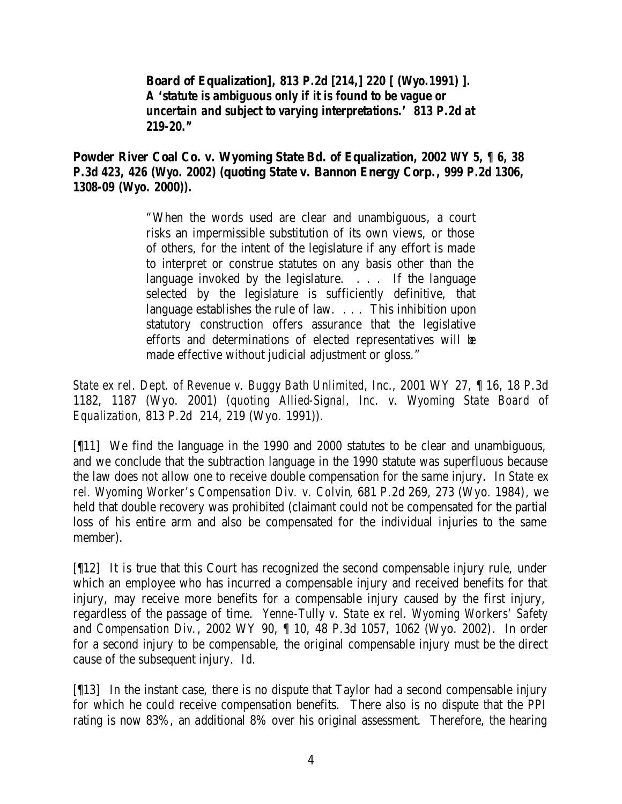**Board of Equalization]***, 813 P.2d [214,] 220 [ (Wyo.1991) ]. A 'statute is ambiguous only if it is found to be vague or uncertain and subject to varying interpretations.' 813 P.2d at 219-20."*

**Powder River Coal Co. v. Wyoming State Bd. of Equalization***, 2002 WY 5, ¶ 6, 38 P.3d 423, 426 (Wyo. 2002) (***quoting State v. Bannon Energy Corp.***, 999 P.2d 1306, 1308-09 (Wyo. 2000)).*

> "When the words used are clear and unambiguous, a court risks an impermissible substitution of its own views, or those of others, for the intent of the legislature if any effort is made to interpret or construe statutes on any basis other than the language invoked by the legislature. . . . If the language selected by the legislature is sufficiently definitive, that language establishes the rule of law. . . . This inhibition upon statutory construction offers assurance that the legislative efforts and determinations of elected representatives will be made effective without judicial adjustment or gloss."

*State ex rel. Dept. of Revenue v. Buggy Bath Unlimited, Inc.*, 2001 WY 27, ¶ 16, 18 P.3d 1182, 1187 (Wyo. 2001) (*quoting Allied-Signal, Inc. v. Wyoming State Board of Equalization*, 813 P.2d 214, 219 (Wyo. 1991)).

[¶11] We find the language in the 1990 and 2000 statutes to be clear and unambiguous, and we conclude that the subtraction language in the 1990 statute was superfluous because the law does not allow one to receive double compensation for the same injury. In *State ex rel. Wyoming Worker's Compensation Div. v. Colvin*, 681 P.2d 269, 273 (Wyo. 1984), we held that double recovery was prohibited (claimant could not be compensated for the partial loss of his entire arm and also be compensated for the individual injuries to the same member).

[¶12] It is true that this Court has recognized the second compensable injury rule, under which an employee who has incurred a compensable injury and received benefits for that injury, may receive more benefits for a compensable injury caused by the first injury, regardless of the passage of time. *Yenne-Tully v. State ex rel. Wyoming Workers' Safety and Compensation Div.*, 2002 WY 90, ¶ 10, 48 P.3d 1057, 1062 (Wyo. 2002). In order for a second injury to be compensable, the original compensable injury must be the direct cause of the subsequent injury. *Id*.

[¶13] In the instant case, there is no dispute that Taylor had a second compensable injury for which he could receive compensation benefits. There also is no dispute that the PPI rating is now 83%, an additional 8% over his original assessment. Therefore, the hearing